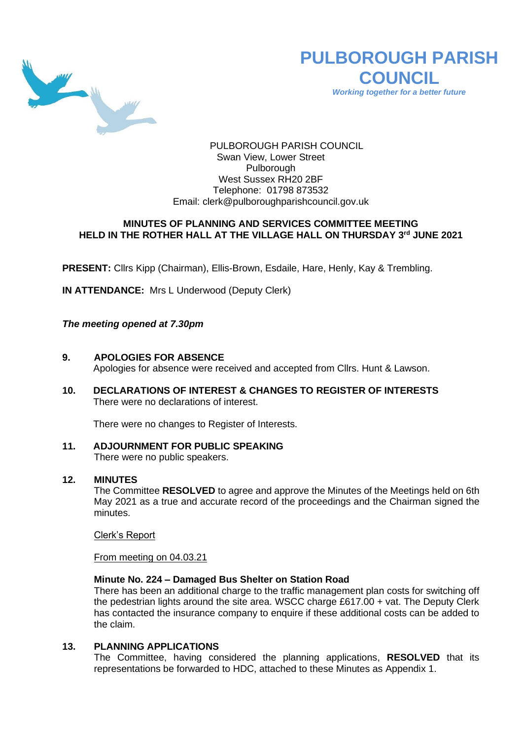

# **PULBOROUGH PARISH COUNCIL**

*Working together for a better future*

PULBOROUGH PARISH COUNCIL Swan View, Lower Street Pulborough West Sussex RH20 2BF Telephone: 01798 873532 Email: [clerk@pulboroughparishcouncil.gov.uk](mailto:clerk@pulboroughparishcouncil.gov.uk)

## **MINUTES OF PLANNING AND SERVICES COMMITTEE MEETING HELD IN THE ROTHER HALL AT THE VILLAGE HALL ON THURSDAY 3 rd JUNE 2021**

**PRESENT:** Cllrs Kipp (Chairman), Ellis-Brown, Esdaile, Hare, Henly, Kay & Trembling.

**IN ATTENDANCE:** Mrs L Underwood (Deputy Clerk)

*The meeting opened at 7.30pm*

**9. APOLOGIES FOR ABSENCE**

Apologies for absence were received and accepted from Cllrs. Hunt & Lawson.

**10. DECLARATIONS OF INTEREST & CHANGES TO REGISTER OF INTERESTS** There were no declarations of interest.

There were no changes to Register of Interests.

**11. ADJOURNMENT FOR PUBLIC SPEAKING** There were no public speakers.

## **12. MINUTES**

The Committee **RESOLVED** to agree and approve the Minutes of the Meetings held on 6th May 2021 as a true and accurate record of the proceedings and the Chairman signed the minutes.

Clerk's Report

From meeting on 04.03.21

### **Minute No. 224 – Damaged Bus Shelter on Station Road**

There has been an additional charge to the traffic management plan costs for switching off the pedestrian lights around the site area. WSCC charge £617.00 + vat. The Deputy Clerk has contacted the insurance company to enquire if these additional costs can be added to the claim.

## **13. PLANNING APPLICATIONS**

The Committee, having considered the planning applications, **RESOLVED** that its representations be forwarded to HDC, attached to these Minutes as Appendix 1.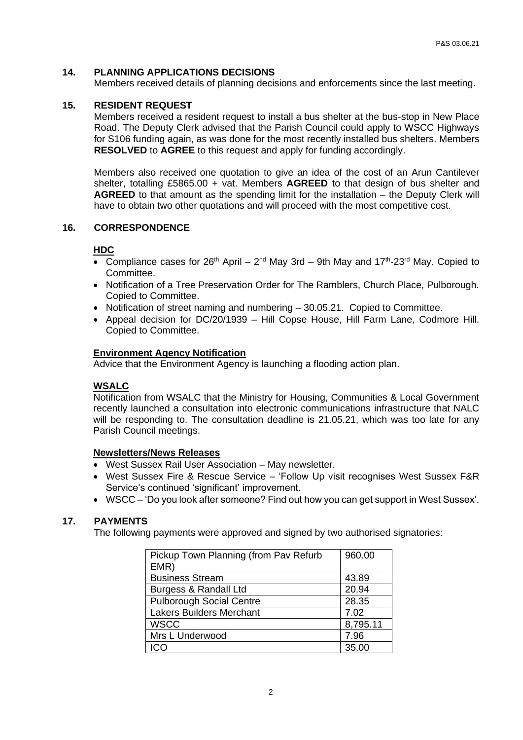## **14. PLANNING APPLICATIONS DECISIONS**

Members received details of planning decisions and enforcements since the last meeting.

## **15. RESIDENT REQUEST**

Members received a resident request to install a bus shelter at the bus-stop in New Place Road. The Deputy Clerk advised that the Parish Council could apply to WSCC Highways for S106 funding again, as was done for the most recently installed bus shelters. Members **RESOLVED** to **AGREE** to this request and apply for funding accordingly.

Members also received one quotation to give an idea of the cost of an Arun Cantilever shelter, totalling £5865.00 + vat. Members **AGREED** to that design of bus shelter and **AGREED** to that amount as the spending limit for the installation – the Deputy Clerk will have to obtain two other quotations and will proceed with the most competitive cost.

#### **16. CORRESPONDENCE**

#### **HDC**

- Compliance cases for  $26<sup>th</sup>$  April  $2<sup>nd</sup>$  May 3rd 9th May and 17<sup>th</sup>-23<sup>rd</sup> May. Copied to Committee.
- Notification of a Tree Preservation Order for The Ramblers, Church Place, Pulborough. Copied to Committee.
- Notification of street naming and numbering 30.05.21. Copied to Committee.
- Appeal decision for DC/20/1939 Hill Copse House, Hill Farm Lane, Codmore Hill. Copied to Committee.

#### **Environment Agency Notification**

Advice that the Environment Agency is launching a flooding action plan.

## **WSALC**

Notification from WSALC that the Ministry for Housing, Communities & Local Government recently launched a consultation into electronic communications infrastructure that NALC will be responding to. The consultation deadline is 21.05.21, which was too late for any Parish Council meetings.

#### **Newsletters/News Releases**

- West Sussex Rail User Association May newsletter.
- West Sussex Fire & Rescue Service 'Follow Up visit recognises West Sussex F&R Service's continued 'significant' improvement.
- WSCC 'Do you look after someone? Find out how you can get support in West Sussex'.

## **17. PAYMENTS**

The following payments were approved and signed by two authorised signatories:

| Pickup Town Planning (from Pav Refurb | 960.00   |
|---------------------------------------|----------|
| EMR)                                  |          |
| <b>Business Stream</b>                | 43.89    |
| Burgess & Randall Ltd                 | 20.94    |
| <b>Pulborough Social Centre</b>       | 28.35    |
| <b>Lakers Builders Merchant</b>       | 7.02     |
| <b>WSCC</b>                           | 8,795.11 |
| Mrs L Underwood                       | 7.96     |
|                                       | 35.00    |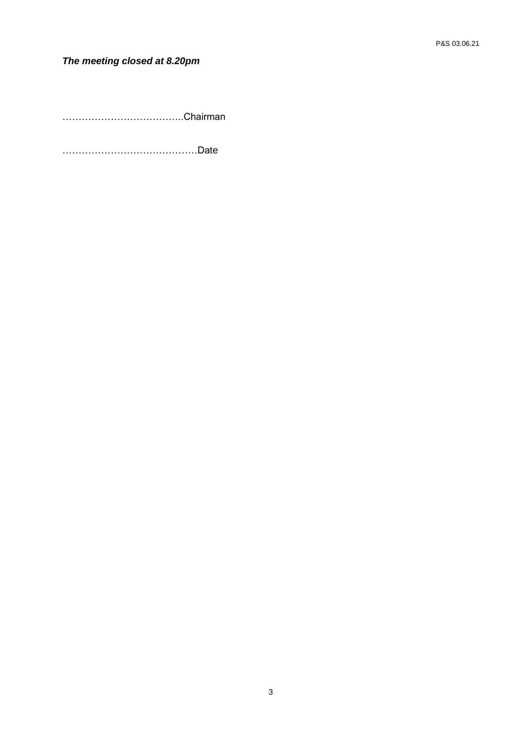## *The meeting closed at 8.20pm*

………………………………..Chairman

……………………………………Date